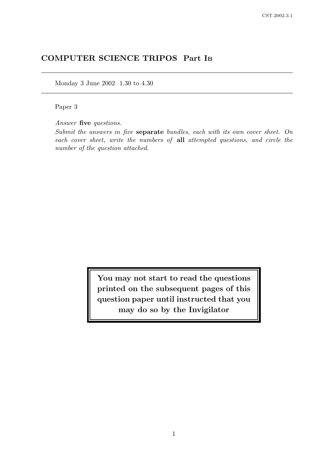# COMPUTER SCIENCE TRIPOS Part I<sup>B</sup>

Monday 3 June 2002 1.30 to 4.30

Paper 3

Answer five questions.

Submit the answers in five separate bundles, each with its own cover sheet. On each cover sheet, write the numbers of all attempted questions, and circle the number of the question attached.

> You may not start to read the questions printed on the subsequent pages of this question paper until instructed that you may do so by the Invigilator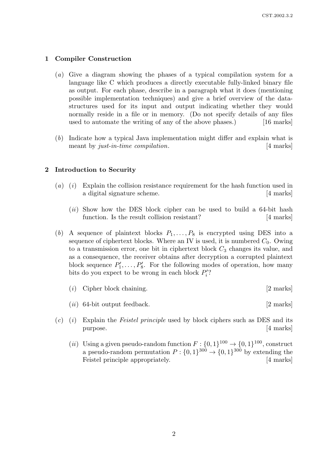# 1 Compiler Construction

- (a) Give a diagram showing the phases of a typical compilation system for a language like C which produces a directly executable fully-linked binary file as output. For each phase, describe in a paragraph what it does (mentioning possible implementation techniques) and give a brief overview of the datastructures used for its input and output indicating whether they would normally reside in a file or in memory. (Do not specify details of any files used to automate the writing of any of the above phases.) [16 marks]
- (b) Indicate how a typical Java implementation might differ and explain what is meant by just-in-time compilation. [4 marks]

#### 2 Introduction to Security

- (a) (i) Explain the collision resistance requirement for the hash function used in a digital signature scheme. [4 marks]
	- $(ii)$  Show how the DES block cipher can be used to build a 64-bit hash function. Is the result collision resistant? [4 marks]
- (b) A sequence of plaintext blocks  $P_1, \ldots, P_8$  is encrypted using DES into a sequence of ciphertext blocks. Where an IV is used, it is numbered  $C_0$ . Owing to a transmission error, one bit in ciphertext block  $C_3$  changes its value, and as a consequence, the receiver obtains after decryption a corrupted plaintext block sequence  $P'_1, \ldots, P'_8$ . For the following modes of operation, how many bits do you expect to be wrong in each block  $P_i'$ ?
	- (i) Cipher block chaining. [2 marks]
	- $(ii)$  64-bit output feedback.  $[2 \text{ marks}]$
- $(c)$  (i) Explain the *Feistel principle* used by block ciphers such as DES and its purpose. [4 marks]
	- (*ii*) Using a given pseudo-random function  $F: \{0,1\}^{100} \to \{0,1\}^{100}$ , construct a pseudo-random permutation  $P: \{0,1\}^{300} \to \{0,1\}^{300}$  by extending the Feistel principle appropriately. [4 marks]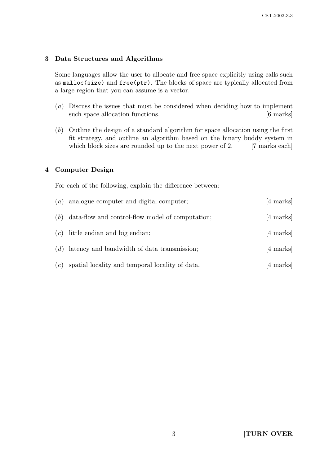# 3 Data Structures and Algorithms

Some languages allow the user to allocate and free space explicitly using calls such as malloc(size) and free(ptr). The blocks of space are typically allocated from a large region that you can assume is a vector.

- (a) Discuss the issues that must be considered when deciding how to implement such space allocation functions. [6 marks]
- (b) Outline the design of a standard algorithm for space allocation using the first fit strategy, and outline an algorithm based on the binary buddy system in which block sizes are rounded up to the next power of 2. [7 marks each]

# 4 Computer Design

For each of the following, explain the difference between:

| (a) | analogue computer and digital computer;          | [4 marks]           |
|-----|--------------------------------------------------|---------------------|
| (b) | data-flow and control-flow model of computation; | [4 marks]           |
| (c) | little endian and big endian;                    | [4 marks]           |
| (d) | latency and bandwidth of data transmission;      | $[4 \text{ marks}]$ |
| (e) | spatial locality and temporal locality of data.  | $ 4 \text{ marks} $ |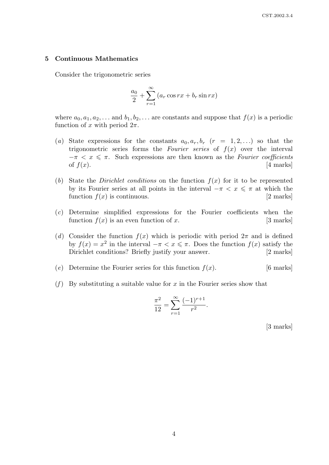#### 5 Continuous Mathematics

Consider the trigonometric series

$$
\frac{a_0}{2} + \sum_{r=1}^{\infty} (a_r \cos rx + b_r \sin rx)
$$

where  $a_0, a_1, a_2, \ldots$  and  $b_1, b_2, \ldots$  are constants and suppose that  $f(x)$  is a periodic function of x with period  $2\pi$ .

- (a) State expressions for the constants  $a_0, a_r, b_r$  ( $r = 1, 2, \ldots$ ) so that the trigonometric series forms the Fourier series of  $f(x)$  over the interval  $-\pi < x \leq \pi$ . Such expressions are then known as the Fourier coefficients of  $f(x)$ . [4 marks]
- (b) State the *Dirichlet conditions* on the function  $f(x)$  for it to be represented by its Fourier series at all points in the interval  $-\pi < x \leq \pi$  at which the function  $f(x)$  is continuous. [2 marks]
- (c) Determine simplified expressions for the Fourier coefficients when the function  $f(x)$  is an even function of x. [3 marks]
- (d) Consider the function  $f(x)$  which is periodic with period  $2\pi$  and is defined by  $f(x) = x^2$  in the interval  $-\pi < x \leq \pi$ . Does the function  $f(x)$  satisfy the Dirichlet conditions? Briefly justify your answer. [2 marks]
- (e) Determine the Fourier series for this function  $f(x)$ . [6 marks]
- (f) By substituting a suitable value for x in the Fourier series show that

$$
\frac{\pi^2}{12} = \sum_{r=1}^{\infty} \frac{(-1)^{r+1}}{r^2}.
$$

[3 marks]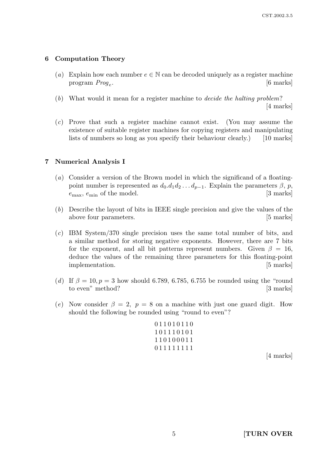# 6 Computation Theory

- (a) Explain how each number  $e \in \mathbb{N}$  can be decoded uniquely as a register machine program  $Prog_e$ . . [6 marks]
- (b) What would it mean for a register machine to decide the halting problem? [4 marks]
- (c) Prove that such a register machine cannot exist. (You may assume the existence of suitable register machines for copying registers and manipulating lists of numbers so long as you specify their behaviour clearly.) [10 marks]

# 7 Numerical Analysis I

- (a) Consider a version of the Brown model in which the significand of a floatingpoint number is represented as  $d_0.d_1d_2 \ldots d_{p-1}$ . Explain the parameters  $\beta$ , p,  $e_{\text{max}}$ ,  $e_{\text{min}}$  of the model. [3 marks]
- (b) Describe the layout of bits in IEEE single precision and give the values of the above four parameters. [5 marks]
- (c) IBM System/370 single precision uses the same total number of bits, and a similar method for storing negative exponents. However, there are 7 bits for the exponent, and all bit patterns represent numbers. Given  $\beta = 16$ , deduce the values of the remaining three parameters for this floating-point implementation. [5 marks]
- (d) If  $\beta = 10, p = 3$  how should 6.789, 6.785, 6.755 be rounded using the "round" to even" method? [3 marks]
- (e) Now consider  $\beta = 2$ ,  $p = 8$  on a machine with just one guard digit. How should the following be rounded using "round to even"?

0 1 1 0 1 0 1 1 0 1 0 1 1 1 0 1 0 1 1 1 0 1 0 0 0 1 1 0 1 1 1 1 1 1 1 1

[4 marks]